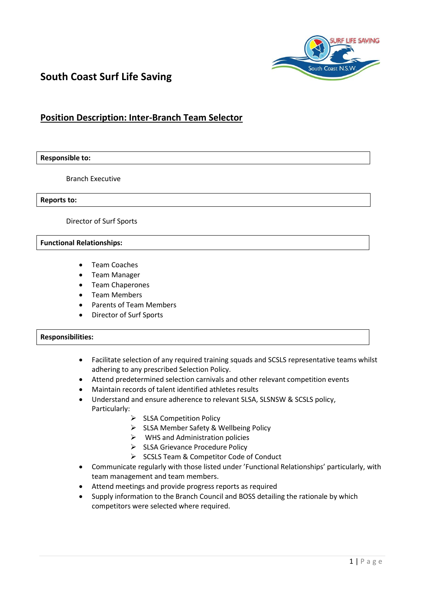

# **South Coast Surf Life Saving**

## **Position Description: Inter-Branch Team Selector**

#### **Responsible to:**

Branch Executive

**Reports to:**

Director of Surf Sports

#### **Functional Relationships:**

- Team Coaches
- Team Manager
- Team Chaperones
- Team Members
- Parents of Team Members
- Director of Surf Sports

### **Responsibilities:**

- Facilitate selection of any required training squads and SCSLS representative teams whilst adhering to any prescribed Selection Policy.
- Attend predetermined selection carnivals and other relevant competition events
- Maintain records of talent identified athletes results
- Understand and ensure adherence to relevant SLSA, SLSNSW & SCSLS policy, Particularly:
	- $\triangleright$  SLSA Competition Policy
	- $\triangleright$  SLSA Member Safety & Wellbeing Policy
	- $\triangleright$  WHS and Administration policies
	- SLSA Grievance Procedure Policy
	- SCSLS Team & Competitor Code of Conduct
- Communicate regularly with those listed under 'Functional Relationships' particularly, with team management and team members.
- Attend meetings and provide progress reports as required
- Supply information to the Branch Council and BOSS detailing the rationale by which competitors were selected where required.